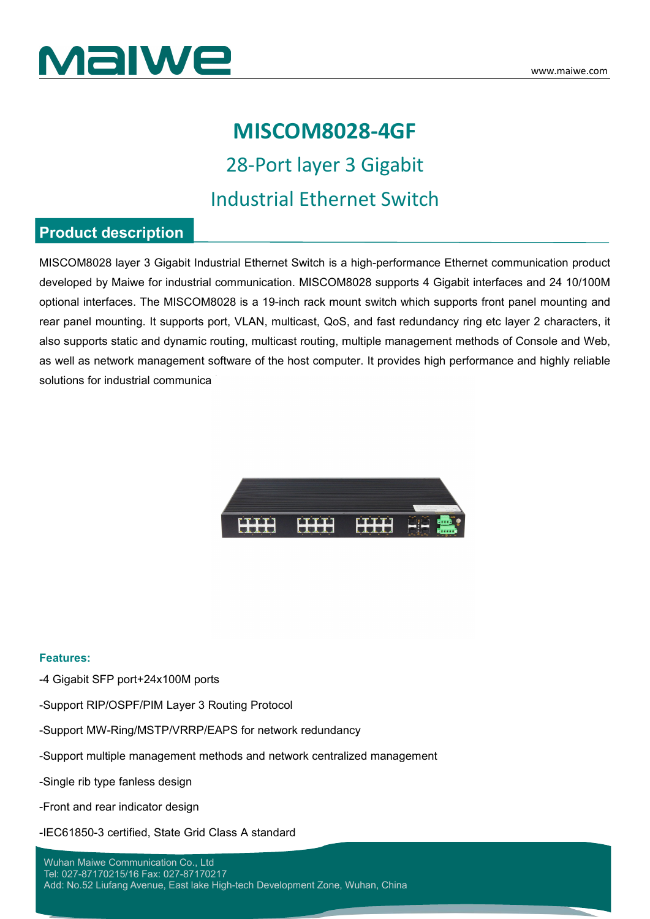

### **MISCOM8028-4GF**

28-Port layer 3 Gigabit Industrial Ethernet Switch

### **Product description**

MISCOM8028 layer 3 Gigabit Industrial Ethernet Switch is a high-performance Ethernet communication product developed by Maiwe for industrial communication. MISCOM8028 supports 4 Gigabit interfaces and 24 10/100M optional interfaces. The MISCOM8028 isa 19-inch rack mount switch which supports front panel mounting and rear panel mounting. It supports port, VLAN, multicast, QoS, and fast redundancy ring etc layer2 characters,it also supports static and dynamic routing, multicast routing, multiple management methods of Console and Web, as well as network management software of the host computer. It provides high performance and highly reliable solutions for industrial communications.



#### **Features:**

-4 Gigabit SFP port+24x100M ports

- -Support RIP/OSPF/PIM Layer 3 Routing Protocol
- -Support MW-Ring/MSTP/VRRP/EAPS for network redundancy
- -Support multiple management methods and network centralized management
- -Single rib type fanless design
- -Front and rear indicator design
- -IEC61850-3 certified, State Grid Class A standard

#### Wuhan Maiwe Communication Co., Ltd Tel: 027-87170215/16 Fax: 027-87170217

Add: No.52 Liufang Avenue, East lake High-tech Development Zone, Wuhan, China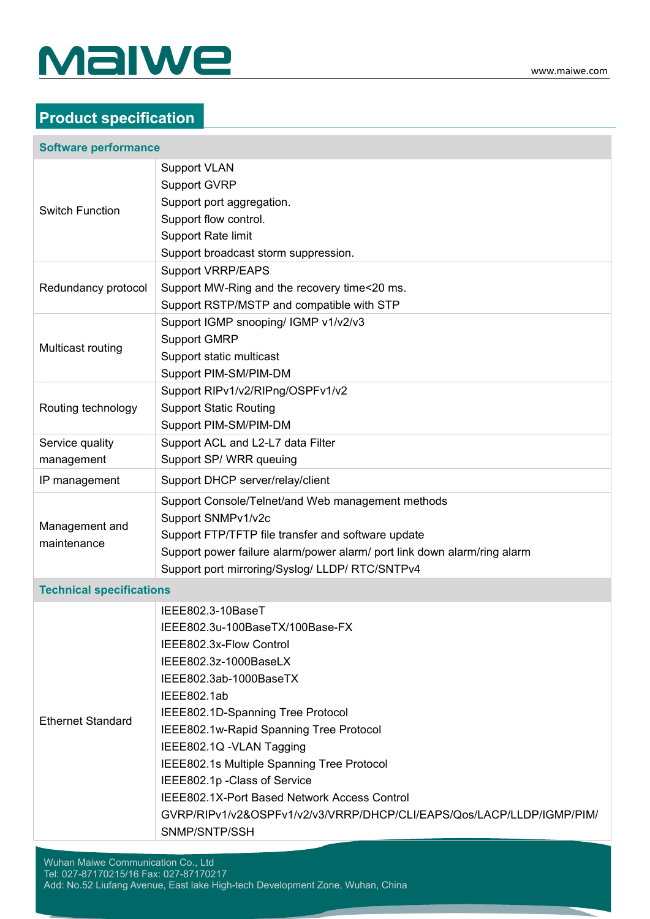

### **Product specification**

#### **Software performance**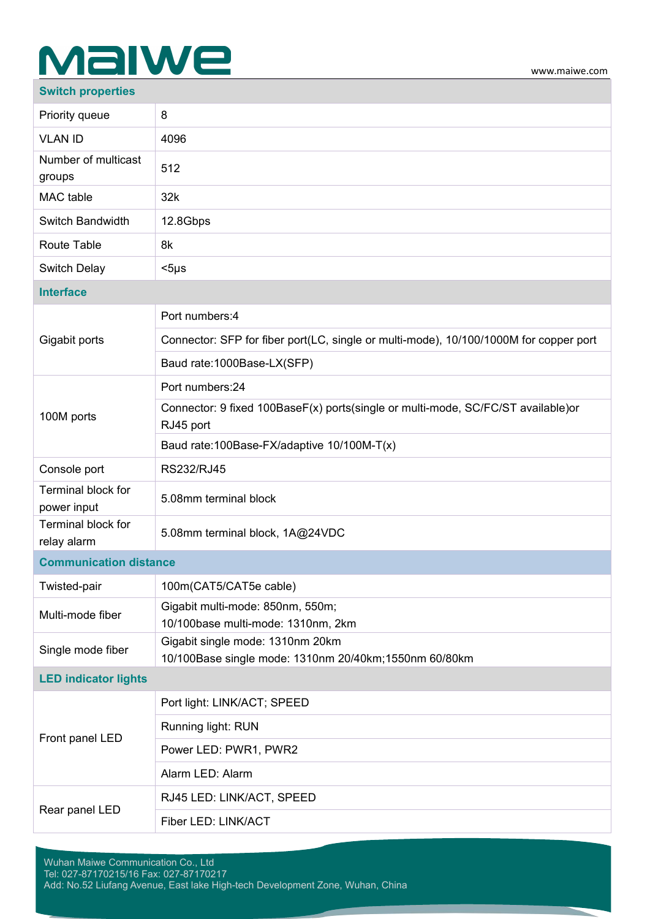# MalWe

### **Switch properties**

| Priority queue                           | 8                                                                                             |
|------------------------------------------|-----------------------------------------------------------------------------------------------|
| <b>VLAN ID</b>                           | 4096                                                                                          |
| Number of multicast<br>groups            | 512                                                                                           |
| MAC table                                | 32k                                                                                           |
| Switch Bandwidth                         | 12.8Gbps                                                                                      |
| Route Table                              | 8k                                                                                            |
| Switch Delay                             | $<$ 5µs                                                                                       |
| <b>Interface</b>                         |                                                                                               |
|                                          | Port numbers: 4                                                                               |
| Gigabit ports                            | Connector: SFP for fiber port(LC, single or multi-mode), 10/100/1000M for copper port         |
|                                          | Baud rate: 1000Base-LX(SFP)                                                                   |
|                                          | Port numbers:24                                                                               |
| 100M ports                               | Connector: 9 fixed 100BaseF(x) ports(single or multi-mode, SC/FC/ST available)or<br>RJ45 port |
|                                          | Baud rate: 100Base-FX/adaptive 10/100M-T(x)                                                   |
| Console port                             | RS232/RJ45                                                                                    |
| <b>Terminal block for</b><br>power input | 5.08mm terminal block                                                                         |
| Terminal block for<br>relay alarm        | 5.08mm terminal block, 1A@24VDC                                                               |
| <b>Communication distance</b>            |                                                                                               |
| Twisted-pair                             | 100m(CAT5/CAT5e cable)                                                                        |
| Multi-mode fiber                         | Gigabit multi-mode: 850nm, 550m;<br>10/100base multi-mode: 1310nm, 2km                        |
| Single mode fiber                        | Gigabit single mode: 1310nm 20km<br>10/100Base single mode: 1310nm 20/40km;1550nm 60/80km     |
| <b>LED indicator lights</b>              |                                                                                               |
| Front panel LED                          | Port light: LINK/ACT; SPEED                                                                   |
|                                          | Running light: RUN                                                                            |
|                                          | Power LED: PWR1, PWR2                                                                         |
|                                          | Alarm LED: Alarm                                                                              |
| Rear panel LED                           | RJ45 LED: LINK/ACT, SPEED                                                                     |
|                                          | Fiber LED: LINK/ACT                                                                           |
|                                          |                                                                                               |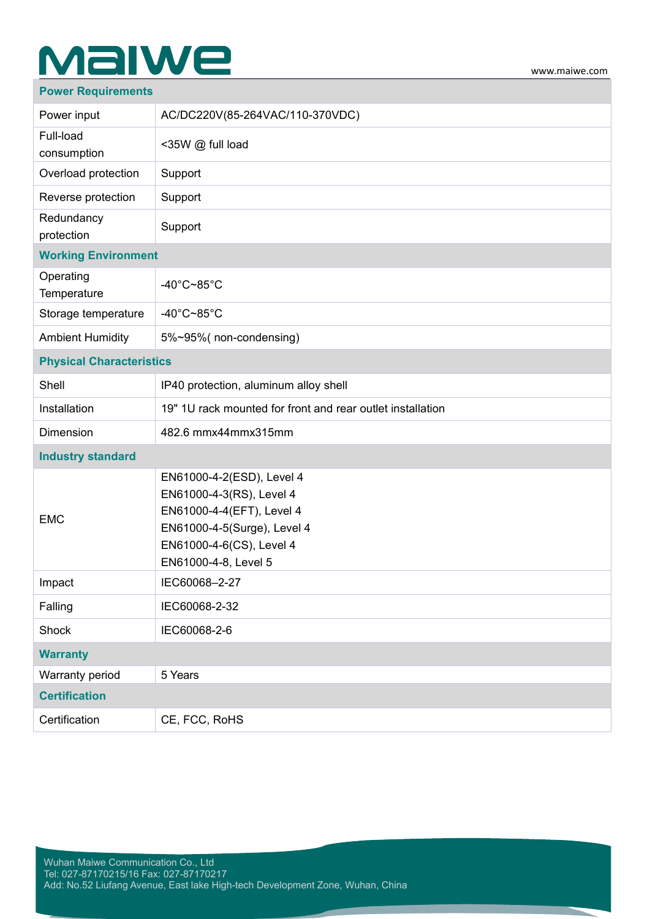# **Malwe**

### **Power Requirements**

| Power input                     | AC/DC220V(85-264VAC/110-370VDC)                                                                                                                                       |
|---------------------------------|-----------------------------------------------------------------------------------------------------------------------------------------------------------------------|
| Full-load<br>consumption        | <35W @ full load                                                                                                                                                      |
| Overload protection             | Support                                                                                                                                                               |
| Reverse protection              | Support                                                                                                                                                               |
| Redundancy<br>protection        | Support                                                                                                                                                               |
| <b>Working Environment</b>      |                                                                                                                                                                       |
| Operating<br>Temperature        | -40 $^{\circ}$ C~85 $^{\circ}$ C                                                                                                                                      |
| Storage temperature             | -40 $^{\circ}$ C~85 $^{\circ}$ C                                                                                                                                      |
| <b>Ambient Humidity</b>         | 5%~95%(non-condensing)                                                                                                                                                |
| <b>Physical Characteristics</b> |                                                                                                                                                                       |
| Shell                           | IP40 protection, aluminum alloy shell                                                                                                                                 |
| Installation                    | 19" 1U rack mounted for front and rear outlet installation                                                                                                            |
| Dimension                       | 482.6 mmx44mmx315mm                                                                                                                                                   |
| <b>Industry standard</b>        |                                                                                                                                                                       |
| <b>EMC</b>                      | EN61000-4-2(ESD), Level 4<br>EN61000-4-3(RS), Level 4<br>EN61000-4-4(EFT), Level 4<br>EN61000-4-5(Surge), Level 4<br>EN61000-4-6(CS), Level 4<br>EN61000-4-8, Level 5 |
| Impact                          | IEC60068-2-27                                                                                                                                                         |
| Falling                         | IEC60068-2-32                                                                                                                                                         |
| Shock                           | IEC60068-2-6                                                                                                                                                          |
| <b>Warranty</b>                 |                                                                                                                                                                       |
| Warranty period                 | 5 Years                                                                                                                                                               |
| <b>Certification</b>            |                                                                                                                                                                       |
| Certification                   | CE, FCC, RoHS                                                                                                                                                         |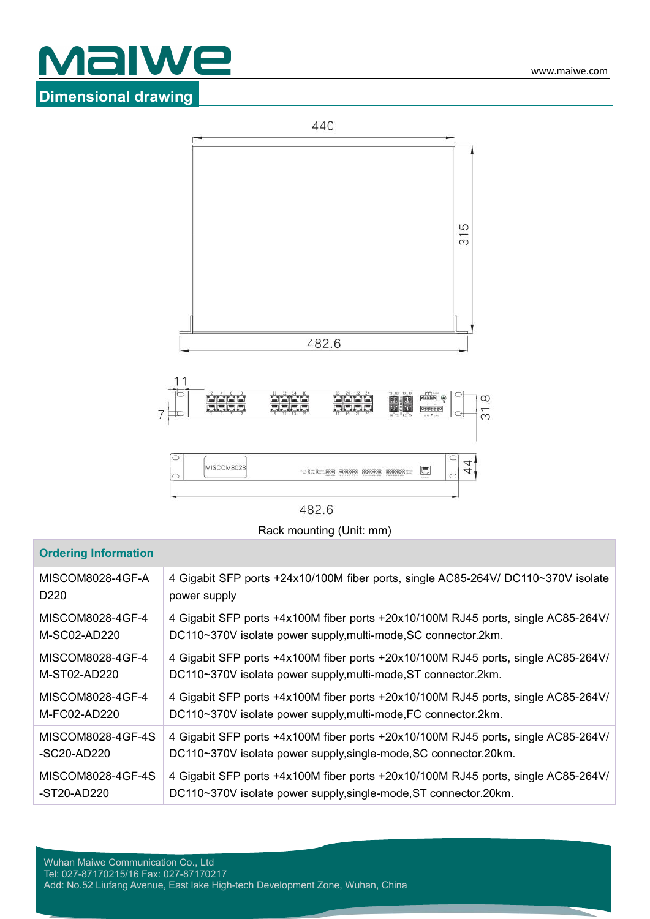



482.6

Rack mounting (Unit: mm)

### **Ordering Information**

| MISCOM8028-4GF-A  | 4 Gigabit SFP ports +24x10/100M fiber ports, single AC85-264V/ DC110~370V isolate |
|-------------------|-----------------------------------------------------------------------------------|
| D <sub>220</sub>  | power supply                                                                      |
| MISCOM8028-4GF-4  | 4 Gigabit SFP ports +4x100M fiber ports +20x10/100M RJ45 ports, single AC85-264V/ |
| M-SC02-AD220      | DC110~370V isolate power supply, multi-mode, SC connector. 2km.                   |
| MISCOM8028-4GF-4  | 4 Gigabit SFP ports +4x100M fiber ports +20x10/100M RJ45 ports, single AC85-264V/ |
| M-ST02-AD220      | DC110~370V isolate power supply, multi-mode, ST connector. 2km.                   |
| MISCOM8028-4GF-4  | 4 Gigabit SFP ports +4x100M fiber ports +20x10/100M RJ45 ports, single AC85-264V/ |
| M-FC02-AD220      | DC110~370V isolate power supply, multi-mode, FC connector.2km.                    |
| MISCOM8028-4GF-4S | 4 Gigabit SFP ports +4x100M fiber ports +20x10/100M RJ45 ports, single AC85-264V/ |
| -SC20-AD220       | DC110~370V isolate power supply, single-mode, SC connector. 20km.                 |
| MISCOM8028-4GF-4S | 4 Gigabit SFP ports +4x100M fiber ports +20x10/100M RJ45 ports, single AC85-264V/ |
| -ST20-AD220       | DC110~370V isolate power supply, single-mode, ST connector. 20km.                 |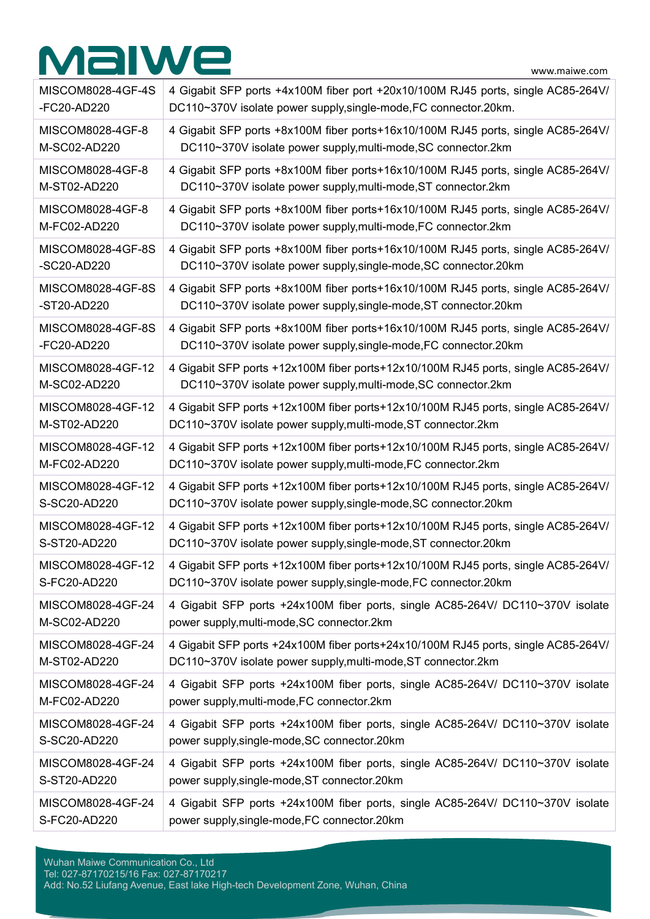# MalWe

www.maiwe.com

| MISCOM8028-4GF-4S | 4 Gigabit SFP ports +4x100M fiber port +20x10/100M RJ45 ports, single AC85-264V/  |
|-------------------|-----------------------------------------------------------------------------------|
| -FC20-AD220       | DC110~370V isolate power supply, single-mode, FC connector. 20km.                 |
| MISCOM8028-4GF-8  | 4 Gigabit SFP ports +8x100M fiber ports+16x10/100M RJ45 ports, single AC85-264V/  |
| M-SC02-AD220      | DC110~370V isolate power supply, multi-mode, SC connector. 2km                    |
| MISCOM8028-4GF-8  | 4 Gigabit SFP ports +8x100M fiber ports+16x10/100M RJ45 ports, single AC85-264V/  |
| M-ST02-AD220      | DC110~370V isolate power supply, multi-mode, ST connector. 2km                    |
| MISCOM8028-4GF-8  | 4 Gigabit SFP ports +8x100M fiber ports+16x10/100M RJ45 ports, single AC85-264V/  |
| M-FC02-AD220      | DC110~370V isolate power supply, multi-mode, FC connector. 2km                    |
| MISCOM8028-4GF-8S | 4 Gigabit SFP ports +8x100M fiber ports+16x10/100M RJ45 ports, single AC85-264V/  |
| -SC20-AD220       | DC110~370V isolate power supply, single-mode, SC connector. 20km                  |
| MISCOM8028-4GF-8S | 4 Gigabit SFP ports +8x100M fiber ports+16x10/100M RJ45 ports, single AC85-264V/  |
| -ST20-AD220       | DC110~370V isolate power supply, single-mode, ST connector. 20km                  |
| MISCOM8028-4GF-8S | 4 Gigabit SFP ports +8x100M fiber ports+16x10/100M RJ45 ports, single AC85-264V/  |
| -FC20-AD220       | DC110~370V isolate power supply, single-mode, FC connector.20km                   |
| MISCOM8028-4GF-12 | 4 Gigabit SFP ports +12x100M fiber ports+12x10/100M RJ45 ports, single AC85-264V/ |
| M-SC02-AD220      | DC110~370V isolate power supply, multi-mode, SC connector. 2km                    |
| MISCOM8028-4GF-12 | 4 Gigabit SFP ports +12x100M fiber ports+12x10/100M RJ45 ports, single AC85-264V/ |
| M-ST02-AD220      | DC110~370V isolate power supply, multi-mode, ST connector. 2km                    |
| MISCOM8028-4GF-12 | 4 Gigabit SFP ports +12x100M fiber ports+12x10/100M RJ45 ports, single AC85-264V/ |
| M-FC02-AD220      | DC110~370V isolate power supply, multi-mode, FC connector. 2km                    |
| MISCOM8028-4GF-12 | 4 Gigabit SFP ports +12x100M fiber ports+12x10/100M RJ45 ports, single AC85-264V/ |
| S-SC20-AD220      | DC110~370V isolate power supply, single-mode, SC connector.20km                   |
| MISCOM8028-4GF-12 | 4 Gigabit SFP ports +12x100M fiber ports+12x10/100M RJ45 ports, single AC85-264V/ |
| S-ST20-AD220      | DC110~370V isolate power supply, single-mode, ST connector.20km                   |
| MISCOM8028-4GF-12 | 4 Gigabit SFP ports +12x100M fiber ports+12x10/100M RJ45 ports, single AC85-264V/ |
| S-FC20-AD220      | DC110~370V isolate power supply, single-mode, FC connector. 20km                  |
| MISCOM8028-4GF-24 | 4 Gigabit SFP ports +24x100M fiber ports, single AC85-264V/ DC110~370V isolate    |
| M-SC02-AD220      | power supply, multi-mode, SC connector. 2km                                       |
| MISCOM8028-4GF-24 | 4 Gigabit SFP ports +24x100M fiber ports+24x10/100M RJ45 ports, single AC85-264V/ |
| M-ST02-AD220      | DC110~370V isolate power supply, multi-mode, ST connector. 2km                    |
| MISCOM8028-4GF-24 | 4 Gigabit SFP ports +24x100M fiber ports, single AC85-264V/ DC110~370V isolate    |
| M-FC02-AD220      | power supply, multi-mode, FC connector. 2km                                       |
| MISCOM8028-4GF-24 | 4 Gigabit SFP ports +24x100M fiber ports, single AC85-264V/ DC110~370V isolate    |
| S-SC20-AD220      | power supply, single-mode, SC connector. 20km                                     |
| MISCOM8028-4GF-24 | 4 Gigabit SFP ports +24x100M fiber ports, single AC85-264V/ DC110~370V isolate    |
| S-ST20-AD220      | power supply, single-mode, ST connector. 20km                                     |
| MISCOM8028-4GF-24 | 4 Gigabit SFP ports +24x100M fiber ports, single AC85-264V/ DC110~370V isolate    |
| S-FC20-AD220      | power supply, single-mode, FC connector. 20km                                     |